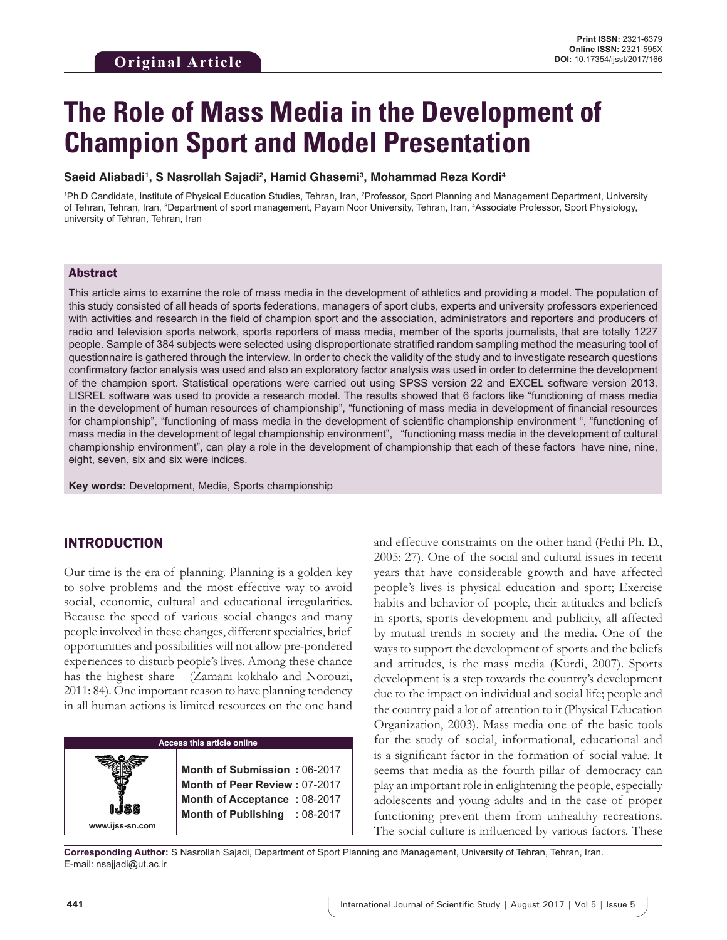# **The Role of Mass Media in the Development of Champion Sport and Model Presentation**

#### **Saeid Aliabadi1 , S Nasrollah Sajadi2 , Hamid Ghasemi3 , Mohammad Reza Kordi4**

1 Ph.D Candidate, Institute of Physical Education Studies, Tehran, Iran, 2 Professor, Sport Planning and Management Department, University of Tehran, Tehran, Iran, <sup>3</sup>Department of sport management, Payam Noor University, Tehran, Iran, <sup>4</sup>Associate Professor, Sport Physiology, university of Tehran, Tehran, Iran

### Abstract

This article aims to examine the role of mass media in the development of athletics and providing a model. The population of this study consisted of all heads of sports federations, managers of sport clubs, experts and university professors experienced with activities and research in the field of champion sport and the association, administrators and reporters and producers of radio and television sports network, sports reporters of mass media, member of the sports journalists, that are totally 1227 people. Sample of 384 subjects were selected using disproportionate stratified random sampling method the measuring tool of questionnaire is gathered through the interview. In order to check the validity of the study and to investigate research questions confirmatory factor analysis was used and also an exploratory factor analysis was used in order to determine the development of the champion sport. Statistical operations were carried out using SPSS version 22 and EXCEL software version 2013. LISREL software was used to provide a research model. The results showed that 6 factors like "functioning of mass media in the development of human resources of championship", "functioning of mass media in development of financial resources for championship", "functioning of mass media in the development of scientific championship environment ", "functioning of mass media in the development of legal championship environment", "functioning mass media in the development of cultural championship environment", can play a role in the development of championship that each of these factors have nine, nine, eight, seven, six and six were indices.

**Key words:** Development, Media, Sports championship

## INTRODUCTION

Our time is the era of planning. Planning is a golden key to solve problems and the most effective way to avoid social, economic, cultural and educational irregularities. Because the speed of various social changes and many people involved in these changes, different specialties, brief opportunities and possibilities will not allow pre-pondered experiences to disturb people's lives. Among these chance has the highest share (Zamani kokhalo and Norouzi, 2011: 84). One important reason to have planning tendency in all human actions is limited resources on the one hand

### **Access this article online**

**Month of Submission :** 06-2017 **Month of Peer Review :** 07-2017 **Month of Acceptance :** 08-2017 **Month of Publishing :** 08-2017 and effective constraints on the other hand (Fethi Ph. D., 2005: 27). One of the social and cultural issues in recent years that have considerable growth and have affected people's lives is physical education and sport; Exercise habits and behavior of people, their attitudes and beliefs in sports, sports development and publicity, all affected by mutual trends in society and the media. One of the ways to support the development of sports and the beliefs and attitudes, is the mass media (Kurdi, 2007). Sports development is a step towards the country's development due to the impact on individual and social life; people and the country paid a lot of attention to it (Physical Education Organization, 2003). Mass media one of the basic tools for the study of social, informational, educational and is a significant factor in the formation of social value. It seems that media as the fourth pillar of democracy can play an important role in enlightening the people, especially adolescents and young adults and in the case of proper functioning prevent them from unhealthy recreations. The social culture is influenced by various factors. These

**Corresponding Author:** S Nasrollah Sajadi, Department of Sport Planning and Management, University of Tehran, Tehran, Iran. E-mail: nsajjadi@ut.ac.ir

**www.ijss-sn.com**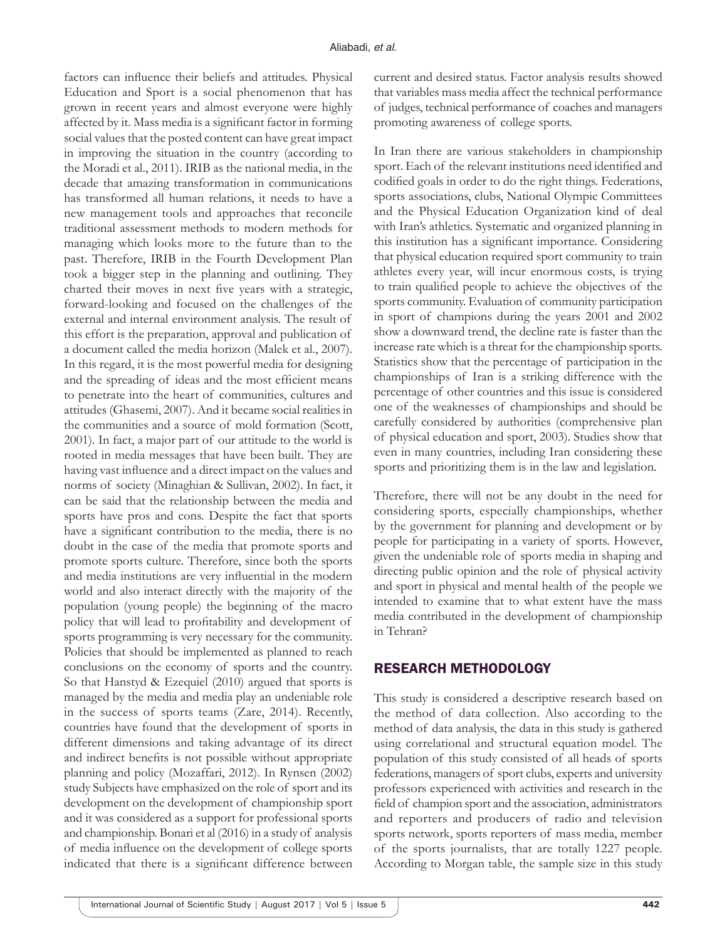factors can influence their beliefs and attitudes. Physical Education and Sport is a social phenomenon that has grown in recent years and almost everyone were highly affected by it. Mass media is a significant factor in forming social values that the posted content can have great impact in improving the situation in the country (according to the Moradi et al., 2011). IRIB as the national media, in the decade that amazing transformation in communications has transformed all human relations, it needs to have a new management tools and approaches that reconcile traditional assessment methods to modern methods for managing which looks more to the future than to the past. Therefore, IRIB in the Fourth Development Plan took a bigger step in the planning and outlining. They charted their moves in next five years with a strategic, forward-looking and focused on the challenges of the external and internal environment analysis. The result of this effort is the preparation, approval and publication of a document called the media horizon (Malek et al., 2007). In this regard, it is the most powerful media for designing and the spreading of ideas and the most efficient means to penetrate into the heart of communities, cultures and attitudes (Ghasemi, 2007). And it became social realities in the communities and a source of mold formation (Scott, 2001). In fact, a major part of our attitude to the world is rooted in media messages that have been built. They are having vast influence and a direct impact on the values and norms of society (Minaghian & Sullivan, 2002). In fact, it can be said that the relationship between the media and sports have pros and cons. Despite the fact that sports have a significant contribution to the media, there is no doubt in the case of the media that promote sports and promote sports culture. Therefore, since both the sports and media institutions are very influential in the modern world and also interact directly with the majority of the population (young people) the beginning of the macro policy that will lead to profitability and development of sports programming is very necessary for the community. Policies that should be implemented as planned to reach conclusions on the economy of sports and the country. So that Hanstyd & Ezequiel (2010) argued that sports is managed by the media and media play an undeniable role in the success of sports teams (Zare, 2014). Recently, countries have found that the development of sports in different dimensions and taking advantage of its direct and indirect benefits is not possible without appropriate planning and policy (Mozaffari, 2012). In Rynsen (2002) study Subjects have emphasized on the role of sport and its development on the development of championship sport and it was considered as a support for professional sports and championship. Bonari et al (2016) in a study of analysis of media influence on the development of college sports indicated that there is a significant difference between

current and desired status. Factor analysis results showed that variables mass media affect the technical performance of judges, technical performance of coaches and managers promoting awareness of college sports.

In Iran there are various stakeholders in championship sport. Each of the relevant institutions need identified and codified goals in order to do the right things. Federations, sports associations, clubs, National Olympic Committees and the Physical Education Organization kind of deal with Iran's athletics. Systematic and organized planning in this institution has a significant importance. Considering that physical education required sport community to train athletes every year, will incur enormous costs, is trying to train qualified people to achieve the objectives of the sports community. Evaluation of community participation in sport of champions during the years 2001 and 2002 show a downward trend, the decline rate is faster than the increase rate which is a threat for the championship sports. Statistics show that the percentage of participation in the championships of Iran is a striking difference with the percentage of other countries and this issue is considered one of the weaknesses of championships and should be carefully considered by authorities (comprehensive plan of physical education and sport, 2003). Studies show that even in many countries, including Iran considering these sports and prioritizing them is in the law and legislation.

Therefore, there will not be any doubt in the need for considering sports, especially championships, whether by the government for planning and development or by people for participating in a variety of sports. However, given the undeniable role of sports media in shaping and directing public opinion and the role of physical activity and sport in physical and mental health of the people we intended to examine that to what extent have the mass media contributed in the development of championship in Tehran?

### RESEARCH METHODOLOGY

This study is considered a descriptive research based on the method of data collection. Also according to the method of data analysis, the data in this study is gathered using correlational and structural equation model. The population of this study consisted of all heads of sports federations, managers of sport clubs, experts and university professors experienced with activities and research in the field of champion sport and the association, administrators and reporters and producers of radio and television sports network, sports reporters of mass media, member of the sports journalists, that are totally 1227 people. According to Morgan table, the sample size in this study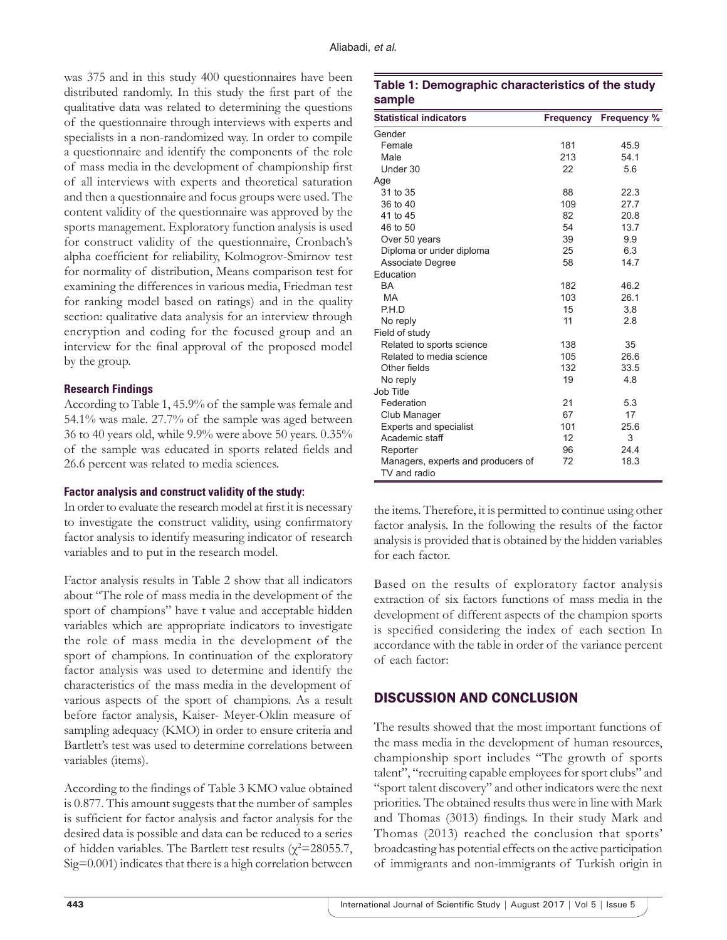was 375 and in this study 400 questionnaires have been distributed randomly. In this study the first part of the qualitative data was related to determining the questions of the questionnaire through interviews with experts and specialists in a non-randomized way. In order to compile a questionnaire and identify the components of the role of mass media in the development of championship first of all interviews with experts and theoretical saturation and then a questionnaire and focus groups were used. The content validity of the questionnaire was approved by the sports management. Exploratory function analysis is used for construct validity of the questionnaire, Cronbach's alpha coefficient for reliability, Kolmogrov-Smirnov test for normality of distribution, Means comparison test for examining the differences in various media, Friedman test for ranking model based on ratings) and in the quality section: qualitative data analysis for an interview through encryption and coding for the focused group and an interview for the final approval of the proposed model by the group.

#### **Research Findings**

According to Table 1, 45.9% of the sample was female and 54.1% was male. 27.7% of the sample was aged between 36 to 40 years old, while 9.9% were above 50 years. 0.35% of the sample was educated in sports related fields and 26.6 percent was related to media sciences.

#### **Factor analysis and construct validity of the study:**

In order to evaluate the research model at first it is necessary to investigate the construct validity, using confirmatory factor analysis to identify measuring indicator of research variables and to put in the research model.

Factor analysis results in Table 2 show that all indicators about "The role of mass media in the development of the sport of champions" have t value and acceptable hidden variables which are appropriate indicators to investigate the role of mass media in the development of the sport of champions. In continuation of the exploratory factor analysis was used to determine and identify the characteristics of the mass media in the development of various aspects of the sport of champions. As a result before factor analysis, Kaiser- Meyer-Oklin measure of sampling adequacy (KMO) in order to ensure criteria and Bartlett's test was used to determine correlations between variables (items).

According to the findings of Table 3 KMO value obtained is 0.877. This amount suggests that the number of samples is sufficient for factor analysis and factor analysis for the desired data is possible and data can be reduced to a series of hidden variables. The Bartlett test results ( $\chi^2$ =28055.7, Sig=0.001) indicates that there is a high correlation between

## **Table 1: Demographic characteristics of the study sample**

| <b>Statistical indicators</b>                      | <b>Frequency</b> | <b>Frequency %</b> |
|----------------------------------------------------|------------------|--------------------|
| Gender                                             |                  |                    |
| Female                                             | 181              | 45.9               |
| Male                                               | 213              | 54.1               |
| Under 30                                           | 22               | 5.6                |
| Age                                                |                  |                    |
| 31 to 35                                           | 88               | 22.3               |
| 36 to 40                                           | 109              | 27.7               |
| 41 to 45                                           | 82               | 20.8               |
| 46 to 50                                           | 54               | 13.7               |
| Over 50 years                                      | 39               | 9.9                |
| Diploma or under diploma                           | 25               | 6.3                |
| Associate Degree                                   | 58               | 14.7               |
| Education                                          |                  |                    |
| <b>BA</b>                                          | 182              | 46.2               |
| MA                                                 | 103              | 26.1               |
| P.H.D                                              | 15               | 3.8                |
| No reply                                           | 11               | 2.8                |
| Field of study                                     |                  |                    |
| Related to sports science                          | 138              | 35                 |
| Related to media science                           | 105              | 26.6               |
| Other fields                                       | 132              | 33.5               |
| No reply                                           | 19               | 4.8                |
| Job Title                                          |                  |                    |
| Federation                                         | 21               | 5.3                |
| Club Manager                                       | 67               | 17                 |
| <b>Experts and specialist</b>                      | 101              | 25.6               |
| Academic staff                                     | 12               | 3                  |
| Reporter                                           | 96               | 24.4               |
| Managers, experts and producers of<br>TV and radio | 72               | 18.3               |

the items. Therefore, it is permitted to continue using other factor analysis. In the following the results of the factor analysis is provided that is obtained by the hidden variables for each factor.

Based on the results of exploratory factor analysis extraction of six factors functions of mass media in the development of different aspects of the champion sports is specified considering the index of each section In accordance with the table in order of the variance percent of each factor:

## DISCUSSION AND CONCLUSION

The results showed that the most important functions of the mass media in the development of human resources, championship sport includes "The growth of sports talent", "recruiting capable employees for sport clubs" and "sport talent discovery" and other indicators were the next priorities. The obtained results thus were in line with Mark and Thomas (3013) findings. In their study Mark and Thomas (2013) reached the conclusion that sports' broadcasting has potential effects on the active participation of immigrants and non-immigrants of Turkish origin in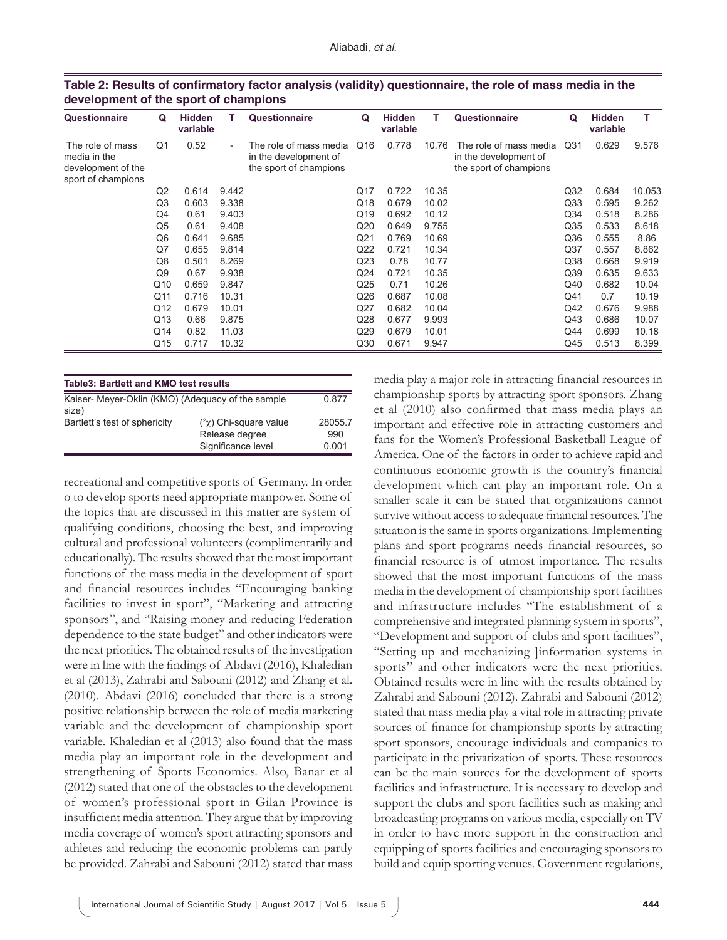| Questionnaire                                                                | Q              | <b>Hidden</b><br>variable |                          | Questionnaire                                                             | Q               | <b>Hidden</b><br>variable | т     | Questionnaire                                                             | Q               | <b>Hidden</b><br>variable |        |
|------------------------------------------------------------------------------|----------------|---------------------------|--------------------------|---------------------------------------------------------------------------|-----------------|---------------------------|-------|---------------------------------------------------------------------------|-----------------|---------------------------|--------|
| The role of mass<br>media in the<br>development of the<br>sport of champions | Q1             | 0.52                      | $\overline{\phantom{0}}$ | The role of mass media<br>in the development of<br>the sport of champions | Q16             | 0.778                     | 10.76 | The role of mass media<br>in the development of<br>the sport of champions | Q <sub>31</sub> | 0.629                     | 9.576  |
|                                                                              | Q <sub>2</sub> | 0.614                     | 9.442                    |                                                                           | Q17             | 0.722                     | 10.35 |                                                                           | Q <sub>32</sub> | 0.684                     | 10.053 |
|                                                                              | Q3             | 0.603                     | 9.338                    |                                                                           | Q18             | 0.679                     | 10.02 |                                                                           | Q <sub>33</sub> | 0.595                     | 9.262  |
|                                                                              | Q4             | 0.61                      | 9.403                    |                                                                           | Q19             | 0.692                     | 10.12 |                                                                           | Q <sub>34</sub> | 0.518                     | 8.286  |
|                                                                              | Q5             | 0.61                      | 9.408                    |                                                                           | Q20             | 0.649                     | 9.755 |                                                                           | Q <sub>35</sub> | 0.533                     | 8.618  |
|                                                                              | Q6             | 0.641                     | 9.685                    |                                                                           | Q <sub>21</sub> | 0.769                     | 10.69 |                                                                           | Q36             | 0.555                     | 8.86   |
|                                                                              | Q7             | 0.655                     | 9.814                    |                                                                           | Q22             | 0.721                     | 10.34 |                                                                           | Q <sub>37</sub> | 0.557                     | 8.862  |
|                                                                              | Q8             | 0.501                     | 8.269                    |                                                                           | Q <sub>23</sub> | 0.78                      | 10.77 |                                                                           | Q38             | 0.668                     | 9.919  |
|                                                                              | Q9             | 0.67                      | 9.938                    |                                                                           | Q24             | 0.721                     | 10.35 |                                                                           | Q39             | 0.635                     | 9.633  |
|                                                                              | Q10            | 0.659                     | 9.847                    |                                                                           | Q <sub>25</sub> | 0.71                      | 10.26 |                                                                           | Q40             | 0.682                     | 10.04  |
|                                                                              | Q11            | 0.716                     | 10.31                    |                                                                           | Q26             | 0.687                     | 10.08 |                                                                           | Q41             | 0.7                       | 10.19  |
|                                                                              | Q12            | 0.679                     | 10.01                    |                                                                           | Q27             | 0.682                     | 10.04 |                                                                           | Q42             | 0.676                     | 9.988  |
|                                                                              | Q13            | 0.66                      | 9.875                    |                                                                           | Q28             | 0.677                     | 9.993 |                                                                           | Q43             | 0.686                     | 10.07  |
|                                                                              | Q14            | 0.82                      | 11.03                    |                                                                           | Q29             | 0.679                     | 10.01 |                                                                           | Q44             | 0.699                     | 10.18  |
|                                                                              | Q15            | 0.717                     | 10.32                    |                                                                           | Q30             | 0.671                     | 9.947 |                                                                           | Q45             | 0.513                     | 8.399  |

| Table 2: Results of confirmatory factor analysis (validity) questionnaire, the role of mass media in the |  |  |  |
|----------------------------------------------------------------------------------------------------------|--|--|--|
| development of the sport of champions                                                                    |  |  |  |

| <b>Table3: Bartlett and KMO test results</b>               |                                                                       |                         |  |  |  |
|------------------------------------------------------------|-----------------------------------------------------------------------|-------------------------|--|--|--|
| Kaiser- Meyer-Oklin (KMO) (Adequacy of the sample<br>size) |                                                                       | 0.877                   |  |  |  |
| Bartlett's test of sphericity                              | $(^{2}\chi)$ Chi-square value<br>Release degree<br>Significance level | 28055.7<br>990<br>0.001 |  |  |  |

recreational and competitive sports of Germany. In order o to develop sports need appropriate manpower. Some of the topics that are discussed in this matter are system of qualifying conditions, choosing the best, and improving cultural and professional volunteers (complimentarily and educationally). The results showed that the most important functions of the mass media in the development of sport and financial resources includes "Encouraging banking facilities to invest in sport", "Marketing and attracting sponsors", and "Raising money and reducing Federation dependence to the state budget" and other indicators were the next priorities. The obtained results of the investigation were in line with the findings of Abdavi (2016), Khaledian et al (2013), Zahrabi and Sabouni (2012) and Zhang et al. (2010). Abdavi (2016) concluded that there is a strong positive relationship between the role of media marketing variable and the development of championship sport variable. Khaledian et al (2013) also found that the mass media play an important role in the development and strengthening of Sports Economics. Also, Banar et al (2012) stated that one of the obstacles to the development of women's professional sport in Gilan Province is insufficient media attention. They argue that by improving media coverage of women's sport attracting sponsors and athletes and reducing the economic problems can partly be provided. Zahrabi and Sabouni (2012) stated that mass

media play a major role in attracting financial resources in championship sports by attracting sport sponsors. Zhang et al (2010) also confirmed that mass media plays an important and effective role in attracting customers and fans for the Women's Professional Basketball League of America. One of the factors in order to achieve rapid and continuous economic growth is the country's financial development which can play an important role. On a smaller scale it can be stated that organizations cannot survive without access to adequate financial resources. The situation is the same in sports organizations. Implementing plans and sport programs needs financial resources, so financial resource is of utmost importance. The results showed that the most important functions of the mass media in the development of championship sport facilities and infrastructure includes "The establishment of a comprehensive and integrated planning system in sports", "Development and support of clubs and sport facilities", "Setting up and mechanizing ]information systems in sports" and other indicators were the next priorities. Obtained results were in line with the results obtained by Zahrabi and Sabouni (2012). Zahrabi and Sabouni (2012) stated that mass media play a vital role in attracting private sources of finance for championship sports by attracting sport sponsors, encourage individuals and companies to participate in the privatization of sports. These resources can be the main sources for the development of sports facilities and infrastructure. It is necessary to develop and support the clubs and sport facilities such as making and broadcasting programs on various media, especially on TV in order to have more support in the construction and equipping of sports facilities and encouraging sponsors to build and equip sporting venues. Government regulations,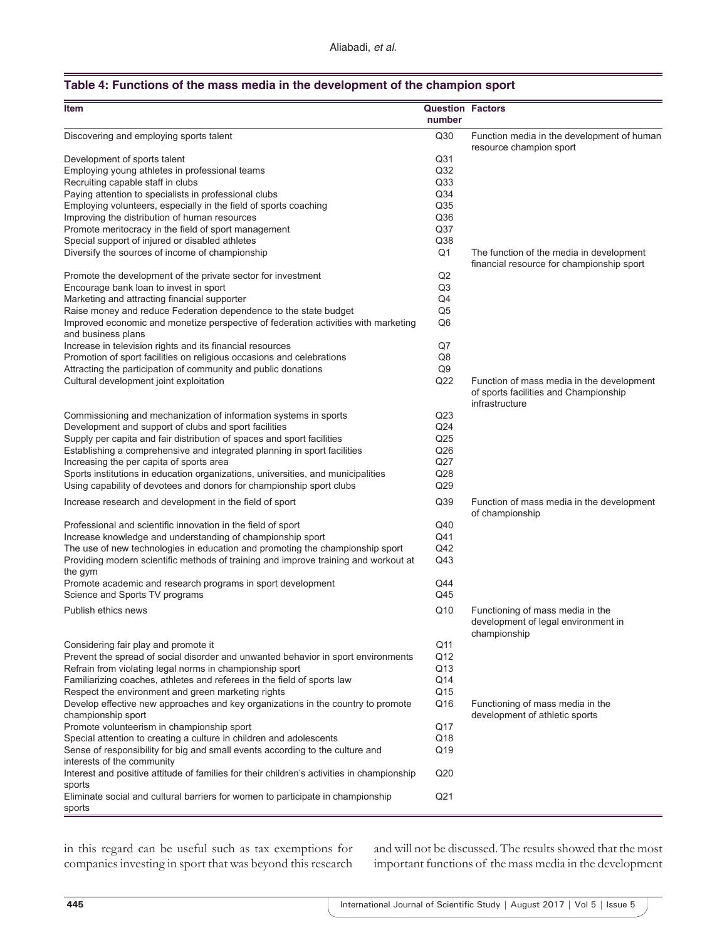#### **Table 4: Functions of the mass media in the development of the champion sport**

| <b>Item</b>                                                                                              | <b>Question Factors</b><br>number |                                                                                                      |
|----------------------------------------------------------------------------------------------------------|-----------------------------------|------------------------------------------------------------------------------------------------------|
| Discovering and employing sports talent                                                                  | Q30                               | Function media in the development of human<br>resource champion sport                                |
| Development of sports talent                                                                             | Q31                               |                                                                                                      |
| Employing young athletes in professional teams                                                           | Q <sub>32</sub>                   |                                                                                                      |
| Recruiting capable staff in clubs                                                                        | Q <sub>33</sub>                   |                                                                                                      |
|                                                                                                          | Q34                               |                                                                                                      |
| Paying attention to specialists in professional clubs                                                    |                                   |                                                                                                      |
| Employing volunteers, especially in the field of sports coaching                                         | Q <sub>35</sub>                   |                                                                                                      |
| Improving the distribution of human resources                                                            | Q36                               |                                                                                                      |
| Promote meritocracy in the field of sport management                                                     | Q <sub>37</sub>                   |                                                                                                      |
| Special support of injured or disabled athletes                                                          | Q38                               |                                                                                                      |
| Diversify the sources of income of championship                                                          | Q <sub>1</sub>                    | The function of the media in development<br>financial resource for championship sport                |
| Promote the development of the private sector for investment                                             | Q2                                |                                                                                                      |
| Encourage bank loan to invest in sport                                                                   | Q <sub>3</sub>                    |                                                                                                      |
| Marketing and attracting financial supporter                                                             | Q4                                |                                                                                                      |
| Raise money and reduce Federation dependence to the state budget                                         | Q <sub>5</sub>                    |                                                                                                      |
| Improved economic and monetize perspective of federation activities with marketing<br>and business plans | Q <sub>6</sub>                    |                                                                                                      |
| Increase in television rights and its financial resources                                                | Q7                                |                                                                                                      |
| Promotion of sport facilities on religious occasions and celebrations                                    | Q8                                |                                                                                                      |
|                                                                                                          |                                   |                                                                                                      |
| Attracting the participation of community and public donations                                           | Q <sub>9</sub>                    |                                                                                                      |
| Cultural development joint exploitation                                                                  | Q <sub>22</sub>                   | Function of mass media in the development<br>of sports facilities and Championship<br>infrastructure |
| Commissioning and mechanization of information systems in sports                                         | Q23                               |                                                                                                      |
| Development and support of clubs and sport facilities                                                    | Q24                               |                                                                                                      |
| Supply per capita and fair distribution of spaces and sport facilities                                   | Q <sub>25</sub>                   |                                                                                                      |
| Establishing a comprehensive and integrated planning in sport facilities                                 | Q <sub>26</sub>                   |                                                                                                      |
| Increasing the per capita of sports area                                                                 | Q27                               |                                                                                                      |
|                                                                                                          | Q28                               |                                                                                                      |
| Sports institutions in education organizations, universities, and municipalities                         |                                   |                                                                                                      |
| Using capability of devotees and donors for championship sport clubs                                     | Q29                               |                                                                                                      |
| Increase research and development in the field of sport                                                  | Q39                               | Function of mass media in the development<br>of championship                                         |
| Professional and scientific innovation in the field of sport                                             | Q40                               |                                                                                                      |
| Increase knowledge and understanding of championship sport                                               | Q41                               |                                                                                                      |
| The use of new technologies in education and promoting the championship sport                            | Q42                               |                                                                                                      |
| Providing modern scientific methods of training and improve training and workout at<br>the gym           | Q43                               |                                                                                                      |
| Promote academic and research programs in sport development                                              | Q44                               |                                                                                                      |
| Science and Sports TV programs                                                                           | Q45                               |                                                                                                      |
| Publish ethics news                                                                                      | Q10                               | Functioning of mass media in the<br>development of legal environment in                              |
|                                                                                                          |                                   | championship                                                                                         |
| Considering fair play and promote it                                                                     | Q11                               |                                                                                                      |
| Prevent the spread of social disorder and unwanted behavior in sport environments                        | Q12                               |                                                                                                      |
| Refrain from violating legal norms in championship sport                                                 | Q13                               |                                                                                                      |
| Familiarizing coaches, athletes and referees in the field of sports law                                  | Q14                               |                                                                                                      |
| Respect the environment and green marketing rights                                                       | Q15                               |                                                                                                      |
| Develop effective new approaches and key organizations in the country to promote                         | Q16                               | Functioning of mass media in the                                                                     |
| championship sport                                                                                       |                                   | development of athletic sports                                                                       |
| Promote volunteerism in championship sport                                                               | Q17                               |                                                                                                      |
| Special attention to creating a culture in children and adolescents                                      | Q18                               |                                                                                                      |
| Sense of responsibility for big and small events according to the culture and                            | Q19                               |                                                                                                      |
| interests of the community                                                                               |                                   |                                                                                                      |
| Interest and positive attitude of families for their children's activities in championship               | Q <sub>20</sub>                   |                                                                                                      |
| sports                                                                                                   |                                   |                                                                                                      |
| Eliminate social and cultural barriers for women to participate in championship<br>sports                | Q <sub>21</sub>                   |                                                                                                      |

in this regard can be useful such as tax exemptions for companies investing in sport that was beyond this research and will not be discussed. The results showed that the most important functions of the mass media in the development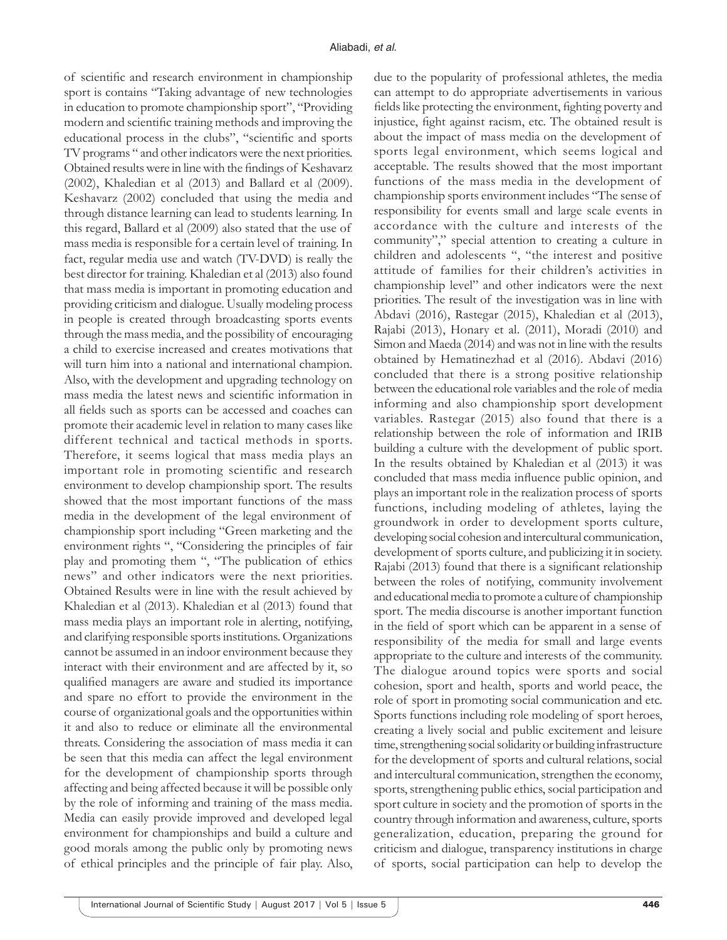of scientific and research environment in championship sport is contains "Taking advantage of new technologies in education to promote championship sport", "Providing modern and scientific training methods and improving the educational process in the clubs", "scientific and sports TV programs " and other indicators were the next priorities. Obtained results were in line with the findings of Keshavarz (2002), Khaledian et al (2013) and Ballard et al (2009). Keshavarz (2002) concluded that using the media and through distance learning can lead to students learning. In this regard, Ballard et al (2009) also stated that the use of mass media is responsible for a certain level of training. In fact, regular media use and watch (TV-DVD) is really the best director for training. Khaledian et al (2013) also found that mass media is important in promoting education and providing criticism and dialogue. Usually modeling process in people is created through broadcasting sports events through the mass media, and the possibility of encouraging a child to exercise increased and creates motivations that will turn him into a national and international champion. Also, with the development and upgrading technology on mass media the latest news and scientific information in all fields such as sports can be accessed and coaches can promote their academic level in relation to many cases like different technical and tactical methods in sports. Therefore, it seems logical that mass media plays an important role in promoting scientific and research environment to develop championship sport. The results showed that the most important functions of the mass media in the development of the legal environment of championship sport including "Green marketing and the environment rights ", "Considering the principles of fair play and promoting them ", "The publication of ethics news" and other indicators were the next priorities. Obtained Results were in line with the result achieved by Khaledian et al (2013). Khaledian et al (2013) found that mass media plays an important role in alerting, notifying, and clarifying responsible sports institutions. Organizations cannot be assumed in an indoor environment because they interact with their environment and are affected by it, so qualified managers are aware and studied its importance and spare no effort to provide the environment in the course of organizational goals and the opportunities within it and also to reduce or eliminate all the environmental threats. Considering the association of mass media it can be seen that this media can affect the legal environment for the development of championship sports through affecting and being affected because it will be possible only by the role of informing and training of the mass media. Media can easily provide improved and developed legal environment for championships and build a culture and good morals among the public only by promoting news of ethical principles and the principle of fair play. Also,

due to the popularity of professional athletes, the media can attempt to do appropriate advertisements in various fields like protecting the environment, fighting poverty and injustice, fight against racism, etc. The obtained result is about the impact of mass media on the development of sports legal environment, which seems logical and acceptable. The results showed that the most important functions of the mass media in the development of championship sports environment includes "The sense of responsibility for events small and large scale events in accordance with the culture and interests of the community"," special attention to creating a culture in children and adolescents ", "the interest and positive attitude of families for their children's activities in championship level" and other indicators were the next priorities. The result of the investigation was in line with Abdavi (2016), Rastegar (2015), Khaledian et al (2013), Rajabi (2013), Honary et al. (2011), Moradi (2010) and Simon and Maeda (2014) and was not in line with the results obtained by Hematinezhad et al (2016). Abdavi (2016) concluded that there is a strong positive relationship between the educational role variables and the role of media informing and also championship sport development variables. Rastegar (2015) also found that there is a relationship between the role of information and IRIB building a culture with the development of public sport. In the results obtained by Khaledian et al (2013) it was concluded that mass media influence public opinion, and plays an important role in the realization process of sports functions, including modeling of athletes, laying the groundwork in order to development sports culture, developing social cohesion and intercultural communication, development of sports culture, and publicizing it in society. Rajabi (2013) found that there is a significant relationship between the roles of notifying, community involvement and educational media to promote a culture of championship sport. The media discourse is another important function in the field of sport which can be apparent in a sense of responsibility of the media for small and large events appropriate to the culture and interests of the community. The dialogue around topics were sports and social cohesion, sport and health, sports and world peace, the role of sport in promoting social communication and etc. Sports functions including role modeling of sport heroes, creating a lively social and public excitement and leisure time, strengthening social solidarity or building infrastructure for the development of sports and cultural relations, social and intercultural communication, strengthen the economy, sports, strengthening public ethics, social participation and sport culture in society and the promotion of sports in the country through information and awareness, culture, sports generalization, education, preparing the ground for criticism and dialogue, transparency institutions in charge of sports, social participation can help to develop the